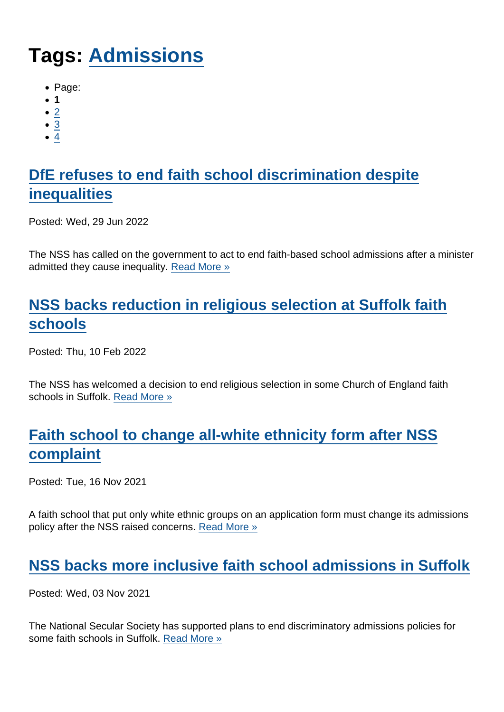# Tags: [Admissions](https://www.secularism.org.uk/news/tags/Admissions)

- Page:
- 1
- $\bullet$  [2](/mnt/web-data/www/cp-nss/news/tags/Admissions)
- [3](/mnt/web-data/www/cp-nss/news/tags/Admissions)
- [4](/mnt/web-data/www/cp-nss/news/tags/Admissions)

# [DfE refuses to end faith school discrimination despite](https://www.secularism.org.uk/news/2022/06/dfe-refuses-to-end-faith-school-discrimination-despite-inequalities) [inequalities](https://www.secularism.org.uk/news/2022/06/dfe-refuses-to-end-faith-school-discrimination-despite-inequalities)

Posted: Wed, 29 Jun 2022

The NSS has called on the government to act to end faith-based school admissions after a minister admitted they cause inequality. [Read More »](https://www.secularism.org.uk/news/2022/06/dfe-refuses-to-end-faith-school-discrimination-despite-inequalities)

# [NSS backs reduction in religious selection at Suffolk faith](https://www.secularism.org.uk/news/2022/02/nss-backs-reduction-in-religious-selection-at-suffolk-faith-schools) [schools](https://www.secularism.org.uk/news/2022/02/nss-backs-reduction-in-religious-selection-at-suffolk-faith-schools)

Posted: Thu, 10 Feb 2022

The NSS has welcomed a decision to end religious selection in some Church of England faith schools in Suffolk. [Read More »](https://www.secularism.org.uk/news/2022/02/nss-backs-reduction-in-religious-selection-at-suffolk-faith-schools)

# [Faith school to change all-white ethnicity form after NSS](https://www.secularism.org.uk/news/2021/11/faith-school-to-change-all-white-ethnicity-form-after-nss-complaint) [complaint](https://www.secularism.org.uk/news/2021/11/faith-school-to-change-all-white-ethnicity-form-after-nss-complaint)

Posted: Tue, 16 Nov 2021

A faith school that put only white ethnic groups on an application form must change its admissions policy after the NSS raised concerns. [Read More »](https://www.secularism.org.uk/news/2021/11/faith-school-to-change-all-white-ethnicity-form-after-nss-complaint)

#### [NSS backs more inclusive faith school admissions in Suffolk](https://www.secularism.org.uk/news/2021/11/nss-backs-more-inclusive-faith-school-admissions-in-suffolk)

Posted: Wed, 03 Nov 2021

The National Secular Society has supported plans to end discriminatory admissions policies for some faith schools in Suffolk. [Read More »](https://www.secularism.org.uk/news/2021/11/nss-backs-more-inclusive-faith-school-admissions-in-suffolk)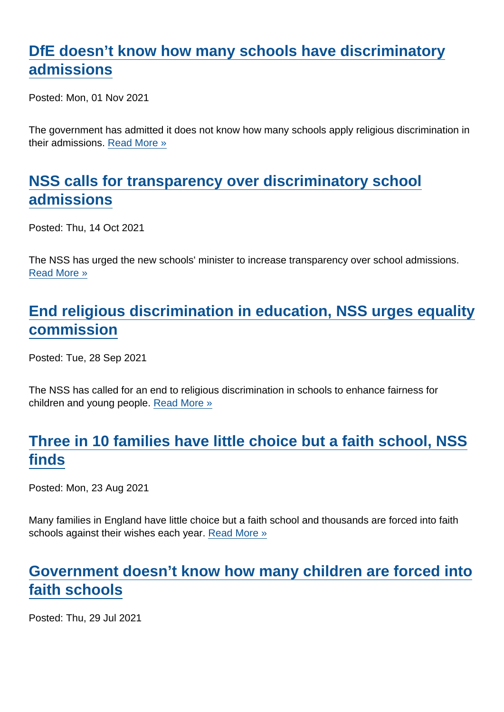## [DfE doesn't know how many schools have discriminatory](https://www.secularism.org.uk/news/2021/11/dfe-doesnt-know-how-many-schools-have-discriminatory-admissions) [admissions](https://www.secularism.org.uk/news/2021/11/dfe-doesnt-know-how-many-schools-have-discriminatory-admissions)

Posted: Mon, 01 Nov 2021

The government has admitted it does not know how many schools apply religious discrimination in their admissions. [Read More »](https://www.secularism.org.uk/news/2021/11/dfe-doesnt-know-how-many-schools-have-discriminatory-admissions)

### [NSS calls for transparency over discriminatory school](https://www.secularism.org.uk/news/2021/10/nss-calls-for-transparency-over-discriminatory-school-admissions) [admissions](https://www.secularism.org.uk/news/2021/10/nss-calls-for-transparency-over-discriminatory-school-admissions)

Posted: Thu, 14 Oct 2021

The NSS has urged the new schools' minister to increase transparency over school admissions. [Read More »](https://www.secularism.org.uk/news/2021/10/nss-calls-for-transparency-over-discriminatory-school-admissions)

# [End religious discrimination in education, NSS urges equality](https://www.secularism.org.uk/news/2021/09/end-religious-discrimination-in-education-nss-urges-equality-commission) [commission](https://www.secularism.org.uk/news/2021/09/end-religious-discrimination-in-education-nss-urges-equality-commission)

Posted: Tue, 28 Sep 2021

The NSS has called for an end to religious discrimination in schools to enhance fairness for children and young people. [Read More »](https://www.secularism.org.uk/news/2021/09/end-religious-discrimination-in-education-nss-urges-equality-commission)

# [Three in 10 families have little choice but a faith school, NSS](https://www.secularism.org.uk/news/2021/08/three-in-10-families-have-little-choice-but-a-faith-school-nss-finds) [finds](https://www.secularism.org.uk/news/2021/08/three-in-10-families-have-little-choice-but-a-faith-school-nss-finds)

Posted: Mon, 23 Aug 2021

Many families in England have little choice but a faith school and thousands are forced into faith schools against their wishes each year. [Read More »](https://www.secularism.org.uk/news/2021/08/three-in-10-families-have-little-choice-but-a-faith-school-nss-finds)

## [Government doesn't know how many children are forced into](https://www.secularism.org.uk/news/2021/07/government-doesnt-know-how-many-children-are-forced-into-faith-schools) [faith schools](https://www.secularism.org.uk/news/2021/07/government-doesnt-know-how-many-children-are-forced-into-faith-schools)

Posted: Thu, 29 Jul 2021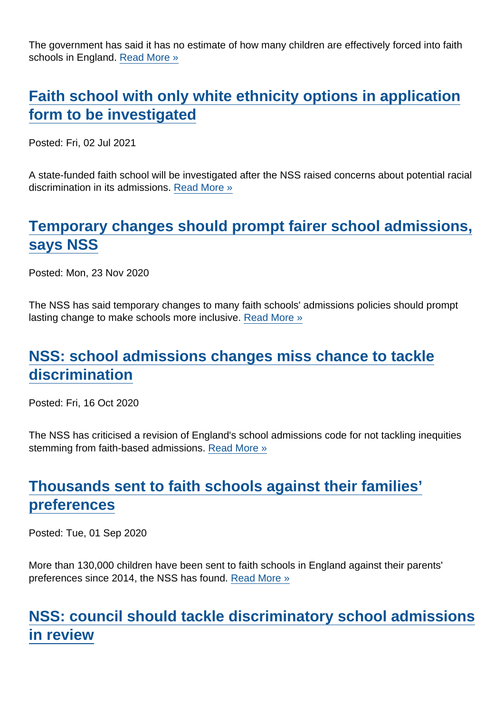The government has said it has no estimate of how many children are effectively forced into faith schools in England. [Read More »](https://www.secularism.org.uk/news/2021/07/government-doesnt-know-how-many-children-are-forced-into-faith-schools)

#### [Faith school with only white ethnicity options in application](https://www.secularism.org.uk/news/2021/07/faith-school-with-only-white-ethnicity-options-in-application-form-to-be-investigated) [form to be investigated](https://www.secularism.org.uk/news/2021/07/faith-school-with-only-white-ethnicity-options-in-application-form-to-be-investigated)

Posted: Fri, 02 Jul 2021

A state-funded faith school will be investigated after the NSS raised concerns about potential racial discrimination in its admissions. [Read More »](https://www.secularism.org.uk/news/2021/07/faith-school-with-only-white-ethnicity-options-in-application-form-to-be-investigated)

# [Temporary changes should prompt fairer school admissions,](https://www.secularism.org.uk/news/2020/11/temporary-changes-should-prompt-fairer-school-admissions-says-nss) [says NSS](https://www.secularism.org.uk/news/2020/11/temporary-changes-should-prompt-fairer-school-admissions-says-nss)

Posted: Mon, 23 Nov 2020

The NSS has said temporary changes to many faith schools' admissions policies should prompt lasting change to make schools more inclusive. [Read More »](https://www.secularism.org.uk/news/2020/11/temporary-changes-should-prompt-fairer-school-admissions-says-nss)

#### [NSS: school admissions changes miss chance to tackle](https://www.secularism.org.uk/news/2020/10/nss-school-admissions-changes-miss-chance-to-tackle-discrimination) [discrimination](https://www.secularism.org.uk/news/2020/10/nss-school-admissions-changes-miss-chance-to-tackle-discrimination)

Posted: Fri, 16 Oct 2020

The NSS has criticised a revision of England's school admissions code for not tackling inequities stemming from faith-based admissions. [Read More »](https://www.secularism.org.uk/news/2020/10/nss-school-admissions-changes-miss-chance-to-tackle-discrimination)

# [Thousands sent to faith schools against their families'](https://www.secularism.org.uk/news/2020/09/thousands-sent-to-faith-schools-against-their-families-preferences) [preferences](https://www.secularism.org.uk/news/2020/09/thousands-sent-to-faith-schools-against-their-families-preferences)

Posted: Tue, 01 Sep 2020

More than 130,000 children have been sent to faith schools in England against their parents' preferences since 2014, the NSS has found. [Read More »](https://www.secularism.org.uk/news/2020/09/thousands-sent-to-faith-schools-against-their-families-preferences)

## [NSS: council should tackle discriminatory school admissions](https://www.secularism.org.uk/news/2020/08/nss-council-should-tackle-discriminatory-school-admissions-in-review) [in review](https://www.secularism.org.uk/news/2020/08/nss-council-should-tackle-discriminatory-school-admissions-in-review)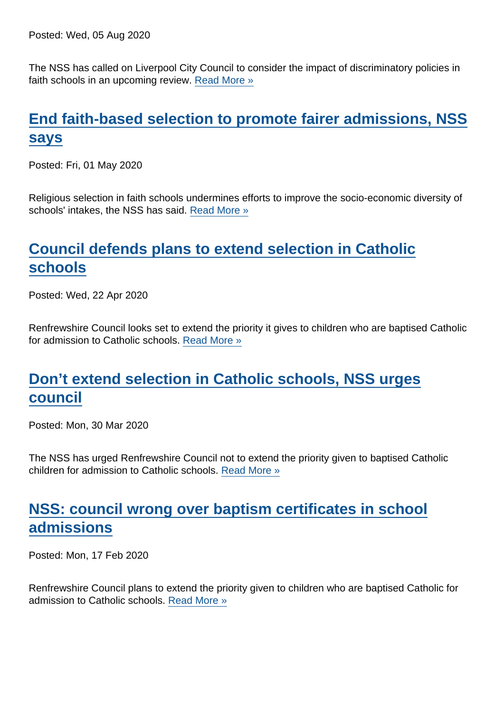Posted: Wed, 05 Aug 2020

The NSS has called on Liverpool City Council to consider the impact of discriminatory policies in faith schools in an upcoming review. [Read More »](https://www.secularism.org.uk/news/2020/08/nss-council-should-tackle-discriminatory-school-admissions-in-review)

# [End faith-based selection to promote fairer admissions, NSS](https://www.secularism.org.uk/news/2020/05/end-faith-based-selection-to-promote-fairer-admissions-nss-says) [says](https://www.secularism.org.uk/news/2020/05/end-faith-based-selection-to-promote-fairer-admissions-nss-says)

Posted: Fri, 01 May 2020

Religious selection in faith schools undermines efforts to improve the socio-economic diversity of schools' intakes, the NSS has said. [Read More »](https://www.secularism.org.uk/news/2020/05/end-faith-based-selection-to-promote-fairer-admissions-nss-says)

# [Council defends plans to extend selection in Catholic](https://www.secularism.org.uk/news/2020/04/council-defends-plans-to-extend-selection-in-catholic-schools) [schools](https://www.secularism.org.uk/news/2020/04/council-defends-plans-to-extend-selection-in-catholic-schools)

Posted: Wed, 22 Apr 2020

Renfrewshire Council looks set to extend the priority it gives to children who are baptised Catholic for admission to Catholic schools. [Read More »](https://www.secularism.org.uk/news/2020/04/council-defends-plans-to-extend-selection-in-catholic-schools)

#### [Don't extend selection in Catholic schools, NSS urges](https://www.secularism.org.uk/news/2020/03/dont-extend-selection-in-catholic-schools-nss-urges-council) [council](https://www.secularism.org.uk/news/2020/03/dont-extend-selection-in-catholic-schools-nss-urges-council)

Posted: Mon, 30 Mar 2020

The NSS has urged Renfrewshire Council not to extend the priority given to baptised Catholic children for admission to Catholic schools. [Read More »](https://www.secularism.org.uk/news/2020/03/dont-extend-selection-in-catholic-schools-nss-urges-council)

#### [NSS: council wrong over baptism certificates in school](https://www.secularism.org.uk/news/2020/02/nss-council-wrong-over-baptism-certificates-in-school-admissions) [admissions](https://www.secularism.org.uk/news/2020/02/nss-council-wrong-over-baptism-certificates-in-school-admissions)

Posted: Mon, 17 Feb 2020

Renfrewshire Council plans to extend the priority given to children who are baptised Catholic for admission to Catholic schools. [Read More »](https://www.secularism.org.uk/news/2020/02/nss-council-wrong-over-baptism-certificates-in-school-admissions)